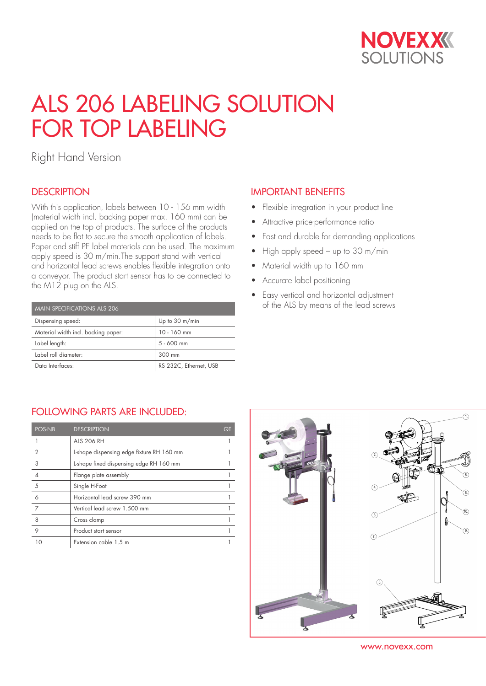

# ALS 206 LABELING SOLUTION FOR TOP LABELING

Right Hand Version

## **DESCRIPTION**

With this application, labels between 10 - 156 mm width (material width incl. backing paper max. 160 mm) can be applied on the top of products. The surface of the products needs to be flat to secure the smooth application of labels. Paper and stiff PE label materials can be used. The maximum apply speed is 30 m/min.The support stand with vertical and horizontal lead screws enables flexible integration onto a conveyor. The product start sensor has to be connected to the M12 plug on the ALS.

| MAIN SPECIFICATIONS ALS 206         |                        |  |  |  |
|-------------------------------------|------------------------|--|--|--|
| Dispensing speed:                   | Up to 30 m/min         |  |  |  |
| Material width incl. backing paper: | 10 - 160 mm            |  |  |  |
| Label length:                       | $5 - 600$ mm           |  |  |  |
| Label roll diameter:                | 300 mm                 |  |  |  |
| Data Interfaces:                    | RS 232C, Ethernet, USB |  |  |  |

#### IMPORTANT BENEFITS

- Flexible integration in your product line
- Attractive price-performance ratio
- Fast and durable for demanding applications
- High apply speed up to 30 m/min
- Material width up to 160 mm
- Accurate label positioning
- Easy vertical and horizontal adjustment of the ALS by means of the lead screws

### FOLLOWING PARTS ARE INCLUDED:

| POS-NB.        | <b>DESCRIPTION</b>                        | QT |
|----------------|-------------------------------------------|----|
|                | <b>ALS 206 RH</b>                         |    |
| $\overline{2}$ | L-shape dispensing edge fixture RH 160 mm |    |
| 3              | L-shape fixed dispensing edge RH 160 mm   |    |
|                | Flange plate assembly                     |    |
| 5              | Single H-Foot                             |    |
| 6              | Horizontal lead screw 390 mm              |    |
| 7              | Vertical lead screw 1.500 mm              |    |
| 8              | Cross clamp                               |    |
| 9              | Product start sensor                      |    |
|                | Extension cable 1.5 m                     |    |



www.novexx.com